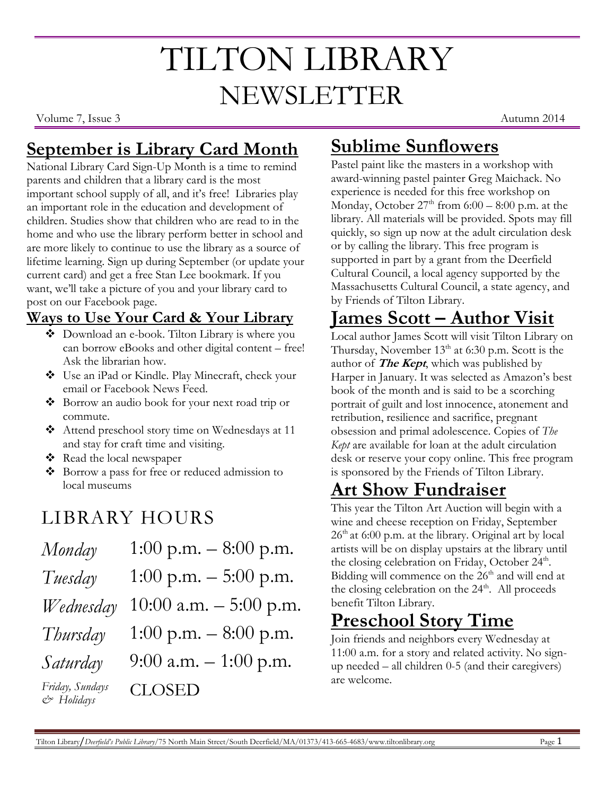# TILTON LIBRARY NEWSLETTER

Volume 7, Issue 3 Autumn 2014

#### **September is Library Card Month**

National Library Card Sign-Up Month is a time to remind parents and children that a library card is the most important school supply of all, and it's free! Libraries play an important role in the education and development of children. Studies show that children who are read to in the home and who use the library perform better in school and are more likely to continue to use the library as a source of lifetime learning. Sign up during September (or update your current card) and get a free Stan Lee bookmark. If you want, we'll take a picture of you and your library card to post on our Facebook page.

#### **Ways to Use Your Card & Your Library**

- Download an e-book. Tilton Library is where you can borrow eBooks and other digital content – free! Ask the librarian how.
- Use an iPad or Kindle. Play Minecraft, check your email or Facebook News Feed.
- Borrow an audio book for your next road trip or commute.
- Attend preschool story time on Wednesdays at 11 and stay for craft time and visiting.
- Read the local newspaper
- Borrow a pass for free or reduced admission to local museums

## LIBRARY HOURS

| Monday                                       | 1:00 p.m. $-8:00$ p.m.   |
|----------------------------------------------|--------------------------|
| Tuesday                                      | 1:00 p.m. $-$ 5:00 p.m.  |
| Wednesday                                    | 10:00 a.m. $-$ 5:00 p.m. |
| Thursday                                     | 1:00 p.m. $-8:00$ p.m.   |
| Saturday                                     | 9:00 a.m. $-1:00$ p.m.   |
| Friday, Sundays<br>$c$ <sup>b</sup> Holidays | <b>CLOSED</b>            |

# **Sublime Sunflowers**

Pastel paint like the masters in a workshop with award-winning pastel painter Greg Maichack. No experience is needed for this free workshop on Monday, October  $27<sup>th</sup>$  from  $6:00 - 8:00$  p.m. at the library. All materials will be provided. Spots may fill quickly, so sign up now at the adult circulation desk or by calling the library. This free program is supported in part by a grant from the Deerfield Cultural Council, a local agency supported by the Massachusetts Cultural Council, a state agency, and by Friends of Tilton Library.

#### **James Scott – Author Visit**

Local author James Scott will visit Tilton Library on Thursday, November  $13<sup>th</sup>$  at 6:30 p.m. Scott is the author of **The Kept**, which was published by Harper in January. It was selected as Amazon's best book of the month and is said to be a scorching portrait of guilt and lost innocence, atonement and retribution, resilience and sacrifice, pregnant obsession and primal adolescence. Copies of *The Kept* are available for loan at the adult circulation desk or reserve your copy online. This free program is sponsored by the Friends of Tilton Library.

## **Art Show Fundraiser**

This year the Tilton Art Auction will begin with a wine and cheese reception on Friday, September  $26<sup>th</sup>$  at 6:00 p.m. at the library. Original art by local artists will be on display upstairs at the library until the closing celebration on Friday, October 24<sup>th</sup>. Bidding will commence on the  $26<sup>th</sup>$  and will end at the closing celebration on the 24<sup>th</sup>. All proceeds benefit Tilton Library.

## **Preschool Story Time**

Join friends and neighbors every Wednesday at 11:00 a.m. for a story and related activity. No signup needed – all children 0-5 (and their caregivers) are welcome.